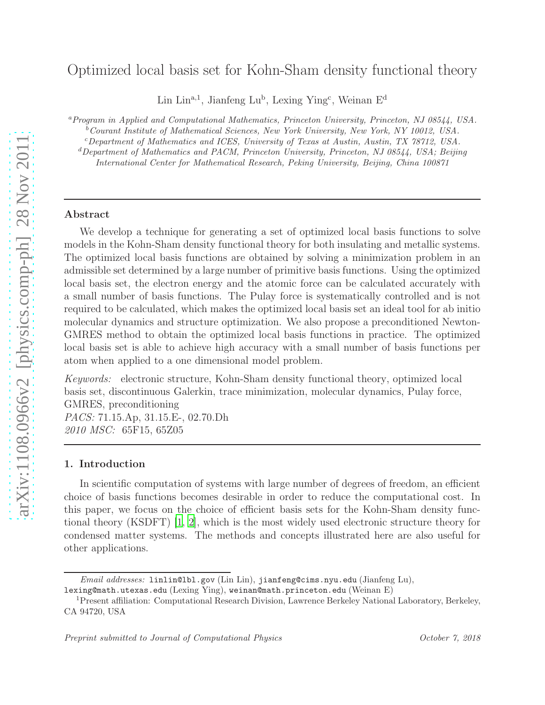# Optimized local basis set for Kohn-Sham density functional theory

Lin Lin<sup>a,1</sup>, Jianfeng Lu<sup>b</sup>, Lexing Ying<sup>c</sup>, Weinan E<sup>d</sup>

<sup>a</sup>*Program in Applied and Computational Mathematics, Princeton University, Princeton, NJ 08544, USA.*

<sup>b</sup>*Courant Institute of Mathematical Sciences, New York University, New York, NY 10012, USA.*

<sup>c</sup>*Department of Mathematics and ICES, University of Texas at Austin, Austin, TX 78712, USA.*

<sup>d</sup>*Department of Mathematics and PACM, Princeton University, Princeton, NJ 08544, USA; Beijing International Center for Mathematical Research, Peking University, Beijing, China 100871*

#### Abstract

We develop a technique for generating a set of optimized local basis functions to solve models in the Kohn-Sham density functional theory for both insulating and metallic systems. The optimized local basis functions are obtained by solving a minimization problem in an admissible set determined by a large number of primitive basis functions. Using the optimized local basis set, the electron energy and the atomic force can be calculated accurately with a small number of basis functions. The Pulay force is systematically controlled and is not required to be calculated, which makes the optimized local basis set an ideal tool for ab initio molecular dynamics and structure optimization. We also propose a preconditioned Newton-GMRES method to obtain the optimized local basis functions in practice. The optimized local basis set is able to achieve high accuracy with a small number of basis functions per atom when applied to a one dimensional model problem.

*Keywords:* electronic structure, Kohn-Sham density functional theory, optimized local basis set, discontinuous Galerkin, trace minimization, molecular dynamics, Pulay force, GMRES, preconditioning *PACS:* 71.15.Ap, 31.15.E-, 02.70.Dh *2010 MSC:* 65F15, 65Z05

#### <span id="page-0-0"></span>1. Introduction

In scientific computation of systems with large number of degrees of freedom, an efficient choice of basis functions becomes desirable in order to reduce the computational cost. In this paper, we focus on the choice of efficient basis sets for the Kohn-Sham density functional theory (KSDFT) [\[1,](#page-18-0) [2\]](#page-18-1), which is the most widely used electronic structure theory for condensed matter systems. The methods and concepts illustrated here are also useful for other applications.

*Email addresses:* linlin@lbl.gov (Lin Lin), jianfeng@cims.nyu.edu (Jianfeng Lu),

lexing@math.utexas.edu (Lexing Ying), weinan@math.princeton.edu (Weinan E)

<sup>1</sup>Present affiliation: Computational Research Division, Lawrence Berkeley National Laboratory, Berkeley, CA 94720, USA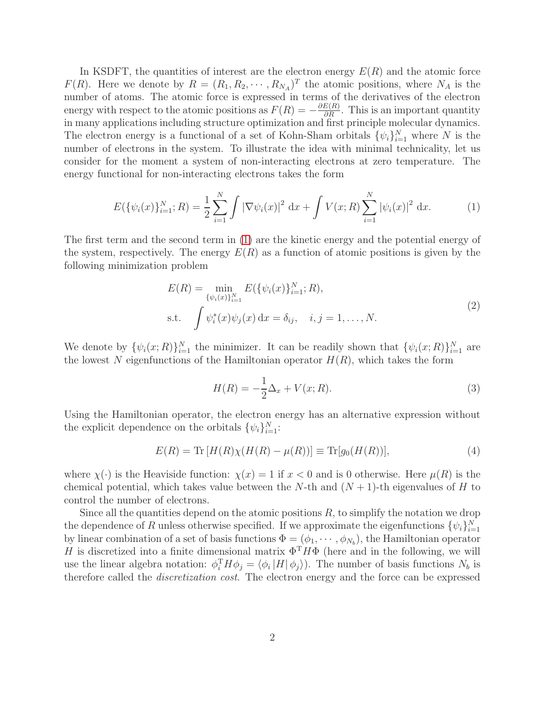In KSDFT, the quantities of interest are the electron energy  $E(R)$  and the atomic force  $F(R)$ . Here we denote by  $R = (R_1, R_2, \cdots, R_{N_A})^T$  the atomic positions, where  $N_A$  is the number of atoms. The atomic force is expressed in terms of the derivatives of the electron energy with respect to the atomic positions as  $F(R) = -\frac{\partial E(R)}{\partial R}$ . This is an important quantity in many applications including structure optimization and first principle molecular dynamics. The electron energy is a functional of a set of Kohn-Sham orbitals  $\{\psi_i\}_{i=1}^N$  where N is the number of electrons in the system. To illustrate the idea with minimal technicality, let us consider for the moment a system of non-interacting electrons at zero temperature. The energy functional for non-interacting electrons takes the form

<span id="page-1-0"></span>
$$
E(\{\psi_i(x)\}_{i=1}^N;R) = \frac{1}{2}\sum_{i=1}^N \int |\nabla \psi_i(x)|^2 dx + \int V(x;R) \sum_{i=1}^N |\psi_i(x)|^2 dx.
$$
 (1)

The first term and the second term in [\(1\)](#page-1-0) are the kinetic energy and the potential energy of the system, respectively. The energy  $E(R)$  as a function of atomic positions is given by the following minimization problem

$$
E(R) = \min_{\{\psi_i(x)\}_{i=1}^N} E(\{\psi_i(x)\}_{i=1}^N; R),
$$
  
s.t. 
$$
\int \psi_i^*(x)\psi_j(x) dx = \delta_{ij}, \quad i, j = 1, ..., N.
$$
 (2)

<span id="page-1-1"></span>We denote by  $\{\psi_i(x;R)\}_{i=1}^N$  the minimizer. It can be readily shown that  $\{\psi_i(x;R)\}_{i=1}^N$  are the lowest N eigenfunctions of the Hamiltonian operator  $H(R)$ , which takes the form

$$
H(R) = -\frac{1}{2}\Delta_x + V(x;R).
$$
 (3)

Using the Hamiltonian operator, the electron energy has an alternative expression without the explicit dependence on the orbitals  $\{\psi_i\}_{i=1}^N$ :

$$
E(R) = \text{Tr}[H(R)\chi(H(R) - \mu(R))] \equiv \text{Tr}[g_0(H(R))],
$$
\n(4)

where  $\chi(\cdot)$  is the Heaviside function:  $\chi(x) = 1$  if  $x < 0$  and is 0 otherwise. Here  $\mu(R)$  is the chemical potential, which takes value between the N-th and  $(N + 1)$ -th eigenvalues of H to control the number of electrons.

Since all the quantities depend on the atomic positions  $R$ , to simplify the notation we drop the dependence of R unless otherwise specified. If we approximate the eigenfunctions  $\{\psi_i\}_{i=1}^N$ by linear combination of a set of basis functions  $\Phi = (\phi_1, \dots, \phi_{N_b})$ , the Hamiltonian operator H is discretized into a finite dimensional matrix  $\Phi^T H \Phi$  (here and in the following, we will use the linear algebra notation:  $\phi_i^T H \phi_j = \langle \phi_i | H | \phi_j \rangle$ . The number of basis functions  $N_b$  is therefore called the *discretization cost*. The electron energy and the force can be expressed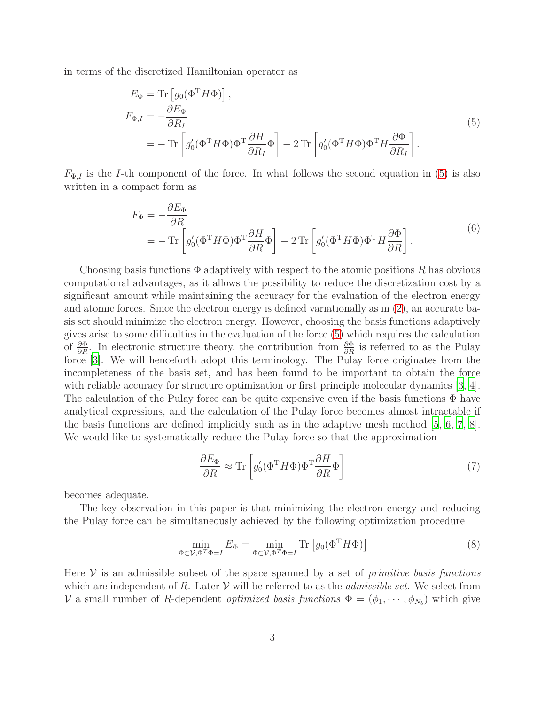<span id="page-2-0"></span>in terms of the discretized Hamiltonian operator as

$$
E_{\Phi} = \text{Tr} \left[ g_0 (\Phi^{\text{T}} H \Phi) \right],
$$
  
\n
$$
F_{\Phi, I} = -\frac{\partial E_{\Phi}}{\partial R_I}
$$
  
\n
$$
= -\text{Tr} \left[ g_0' (\Phi^{\text{T}} H \Phi) \Phi^{\text{T}} \frac{\partial H}{\partial R_I} \Phi \right] - 2 \text{Tr} \left[ g_0' (\Phi^{\text{T}} H \Phi) \Phi^{\text{T}} H \frac{\partial \Phi}{\partial R_I} \right].
$$
\n(5)

 $F_{\Phi,I}$  is the *I*-th component of the force. In what follows the second equation in [\(5\)](#page-2-0) is also written in a compact form as

$$
F_{\Phi} = -\frac{\partial E_{\Phi}}{\partial R}
$$
  
= 
$$
-\operatorname{Tr}\left[g_{0}'(\Phi^{T}H\Phi)\Phi^{T}\frac{\partial H}{\partial R}\Phi\right] - 2\operatorname{Tr}\left[g_{0}'(\Phi^{T}H\Phi)\Phi^{T}H\frac{\partial\Phi}{\partial R}\right].
$$
 (6)

Choosing basis functions  $\Phi$  adaptively with respect to the atomic positions R has obvious computational advantages, as it allows the possibility to reduce the discretization cost by a significant amount while maintaining the accuracy for the evaluation of the electron energy and atomic forces. Since the electron energy is defined variationally as in [\(2\)](#page-1-1), an accurate basis set should minimize the electron energy. However, choosing the basis functions adaptively gives arise to some difficulties in the evaluation of the force [\(5\)](#page-2-0) which requires the calculation of  $\frac{\partial \Phi}{\partial R}$ . In electronic structure theory, the contribution from  $\frac{\partial \Phi}{\partial R}$  is referred to as the Pulay force [\[3](#page-18-2)]. We will henceforth adopt this terminology. The Pulay force originates from the incompleteness of the basis set, and has been found to be important to obtain the force with reliable accuracy for structure optimization or first principle molecular dynamics [\[3,](#page-18-2) [4\]](#page-19-0). The calculation of the Pulay force can be quite expensive even if the basis functions  $\Phi$  have analytical expressions, and the calculation of the Pulay force becomes almost intractable if the basis functions are defined implicitly such as in the adaptive mesh method [\[5](#page-19-1), [6,](#page-19-2) [7](#page-19-3), [8\]](#page-19-4). We would like to systematically reduce the Pulay force so that the approximation

$$
\frac{\partial E_{\Phi}}{\partial R} \approx \text{Tr}\left[g_0'(\Phi^{\text{T}} H \Phi) \Phi^{\text{T}} \frac{\partial H}{\partial R} \Phi\right]
$$
\n(7)

becomes adequate.

The key observation in this paper is that minimizing the electron energy and reducing the Pulay force can be simultaneously achieved by the following optimization procedure

<span id="page-2-1"></span>
$$
\min_{\Phi \subset \mathcal{V}, \Phi^T \Phi = I} E_{\Phi} = \min_{\Phi \subset \mathcal{V}, \Phi^T \Phi = I} \text{Tr} \left[ g_0(\Phi^T H \Phi) \right]
$$
(8)

Here V is an admissible subset of the space spanned by a set of *primitive basis functions* which are independent of R. Later V will be referred to as the *admissible set*. We select from  $V$  a small number of R-dependent *optimized basis functions*  $\Phi = (\phi_1, \dots, \phi_{N_b})$  which give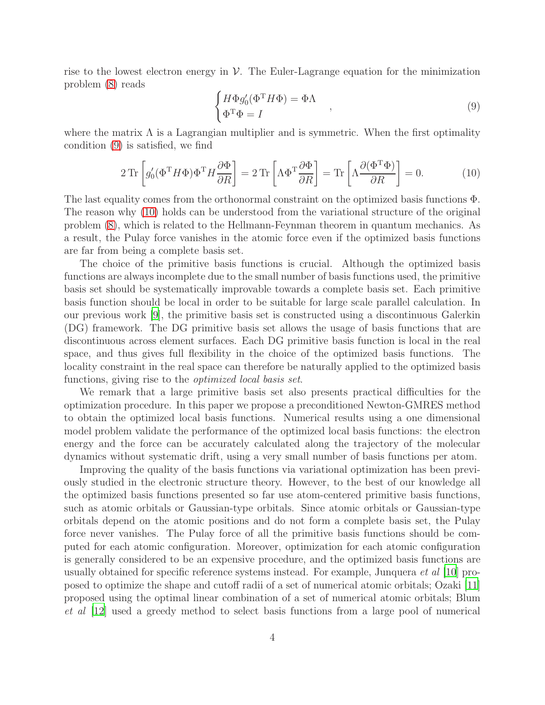rise to the lowest electron energy in  $\mathcal V$ . The Euler-Lagrange equation for the minimization problem [\(8\)](#page-2-1) reads

<span id="page-3-0"></span>
$$
\begin{cases}\nH\Phi g_0'(\Phi^{\mathrm{T}}H\Phi) = \Phi\Lambda \\
\Phi^{\mathrm{T}}\Phi = I\n\end{cases},\n\tag{9}
$$

where the matrix  $\Lambda$  is a Lagrangian multiplier and is symmetric. When the first optimality condition [\(9\)](#page-3-0) is satisfied, we find

<span id="page-3-1"></span>
$$
2\operatorname{Tr}\left[g_0'(\Phi^{\mathrm{T}}H\Phi)\Phi^{\mathrm{T}}H\frac{\partial\Phi}{\partial R}\right] = 2\operatorname{Tr}\left[\Lambda\Phi^{\mathrm{T}}\frac{\partial\Phi}{\partial R}\right] = \operatorname{Tr}\left[\Lambda\frac{\partial(\Phi^{\mathrm{T}}\Phi)}{\partial R}\right] = 0.
$$
 (10)

The last equality comes from the orthonormal constraint on the optimized basis functions Φ. The reason why [\(10\)](#page-3-1) holds can be understood from the variational structure of the original problem [\(8\)](#page-2-1), which is related to the Hellmann-Feynman theorem in quantum mechanics. As a result, the Pulay force vanishes in the atomic force even if the optimized basis functions are far from being a complete basis set.

The choice of the primitive basis functions is crucial. Although the optimized basis functions are always incomplete due to the small number of basis functions used, the primitive basis set should be systematically improvable towards a complete basis set. Each primitive basis function should be local in order to be suitable for large scale parallel calculation. In our previous work [\[9\]](#page-19-5), the primitive basis set is constructed using a discontinuous Galerkin (DG) framework. The DG primitive basis set allows the usage of basis functions that are discontinuous across element surfaces. Each DG primitive basis function is local in the real space, and thus gives full flexibility in the choice of the optimized basis functions. The locality constraint in the real space can therefore be naturally applied to the optimized basis functions, giving rise to the *optimized local basis set*.

We remark that a large primitive basis set also presents practical difficulties for the optimization procedure. In this paper we propose a preconditioned Newton-GMRES method to obtain the optimized local basis functions. Numerical results using a one dimensional model problem validate the performance of the optimized local basis functions: the electron energy and the force can be accurately calculated along the trajectory of the molecular dynamics without systematic drift, using a very small number of basis functions per atom.

Improving the quality of the basis functions via variational optimization has been previously studied in the electronic structure theory. However, to the best of our knowledge all the optimized basis functions presented so far use atom-centered primitive basis functions, such as atomic orbitals or Gaussian-type orbitals. Since atomic orbitals or Gaussian-type orbitals depend on the atomic positions and do not form a complete basis set, the Pulay force never vanishes. The Pulay force of all the primitive basis functions should be computed for each atomic configuration. Moreover, optimization for each atomic configuration is generally considered to be an expensive procedure, and the optimized basis functions are usually obtained for specific reference systems instead. For example, Junquera *et al* [\[10\]](#page-19-6) proposed to optimize the shape and cutoff radii of a set of numerical atomic orbitals; Ozaki [\[11\]](#page-19-7) proposed using the optimal linear combination of a set of numerical atomic orbitals; Blum *et al* [\[12](#page-19-8)] used a greedy method to select basis functions from a large pool of numerical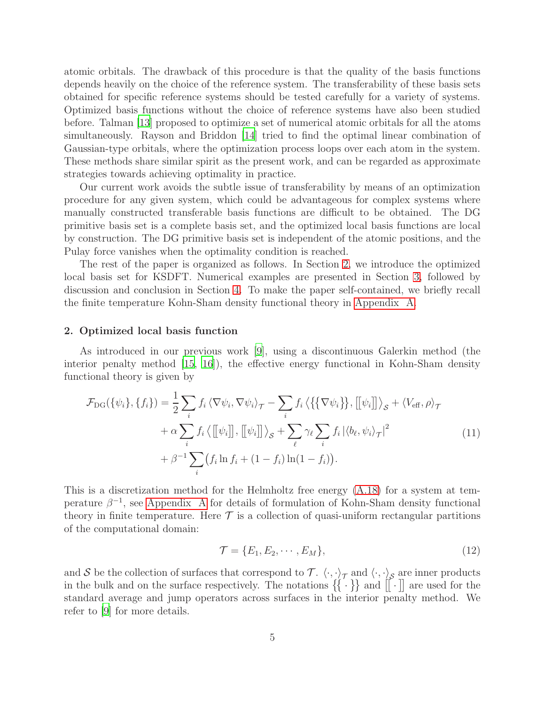atomic orbitals. The drawback of this procedure is that the quality of the basis functions depends heavily on the choice of the reference system. The transferability of these basis sets obtained for specific reference systems should be tested carefully for a variety of systems. Optimized basis functions without the choice of reference systems have also been studied before. Talman [\[13](#page-19-9)] proposed to optimize a set of numerical atomic orbitals for all the atoms simultaneously. Rayson and Briddon [\[14](#page-19-10)] tried to find the optimal linear combination of Gaussian-type orbitals, where the optimization process loops over each atom in the system. These methods share similar spirit as the present work, and can be regarded as approximate strategies towards achieving optimality in practice.

Our current work avoids the subtle issue of transferability by means of an optimization procedure for any given system, which could be advantageous for complex systems where manually constructed transferable basis functions are difficult to be obtained. The DG primitive basis set is a complete basis set, and the optimized local basis functions are local by construction. The DG primitive basis set is independent of the atomic positions, and the Pulay force vanishes when the optimality condition is reached.

The rest of the paper is organized as follows. In Section [2,](#page-4-0) we introduce the optimized local basis set for KSDFT. Numerical examples are presented in Section [3,](#page-9-0) followed by discussion and conclusion in Section [4.](#page-14-0) To make the paper self-contained, we briefly recall the finite temperature Kohn-Sham density functional theory in [Appendix A.](#page-15-0)

#### <span id="page-4-0"></span>2. Optimized local basis function

As introduced in our previous work [\[9](#page-19-5)], using a discontinuous Galerkin method (the interior penalty method [\[15,](#page-19-11) [16](#page-19-12)]), the effective energy functional in Kohn-Sham density functional theory is given by

$$
\mathcal{F}_{DG}(\{\psi_i\}, \{f_i\}) = \frac{1}{2} \sum_i f_i \langle \nabla \psi_i, \nabla \psi_i \rangle_{\mathcal{T}} - \sum_i f_i \langle \{\{\nabla \psi_i\}\}, [[\psi_i]] \rangle_{\mathcal{S}} + \langle V_{\text{eff}}, \rho \rangle_{\mathcal{T}} \n+ \alpha \sum_i f_i \langle [[\psi_i]], [[\psi_i]] \rangle_{\mathcal{S}} + \sum_{\ell} \gamma_{\ell} \sum_i f_i |\langle b_{\ell}, \psi_i \rangle_{\mathcal{T}}|^2 \n+ \beta^{-1} \sum_i (f_i \ln f_i + (1 - f_i) \ln(1 - f_i)).
$$
\n(11)

This is a discretization method for the Helmholtz free energy [\(A.18\)](#page-18-3) for a system at temperature  $\beta^{-1}$ , see [Appendix A](#page-15-0) for details of formulation of Kohn-Sham density functional theory in finite temperature. Here  $\mathcal T$  is a collection of quasi-uniform rectangular partitions of the computational domain:

$$
\mathcal{T} = \{E_1, E_2, \cdots, E_M\},\tag{12}
$$

and S be the collection of surfaces that correspond to  $\mathcal{T}$ .  $\langle \cdot, \cdot \rangle_{\mathcal{T}}$  and  $\langle \cdot, \cdot \rangle_{\mathcal{S}}$  are inner products in the bulk and on the surface respectively. The notations  $\{\{\cdot\}\}\$ and  $\[\cdot\]$  are used for the standard average and jump operators across surfaces in the interior penalty method. We refer to [\[9](#page-19-5)] for more details.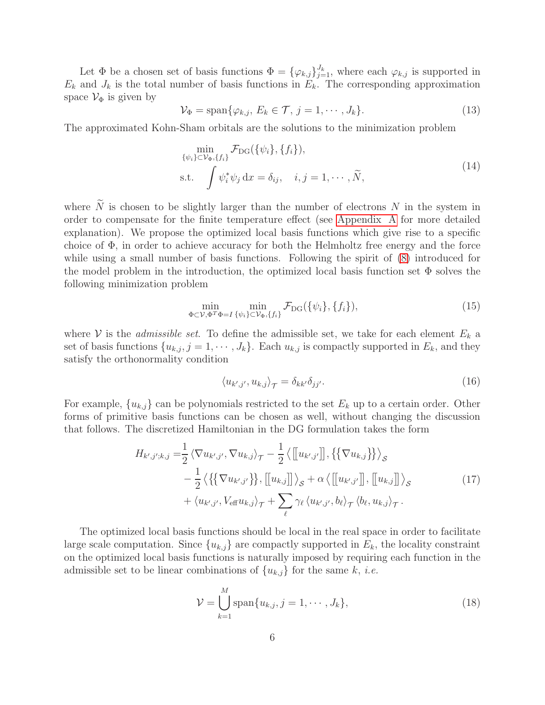Let  $\Phi$  be a chosen set of basis functions  $\Phi = {\{\varphi_{k,j}\}}_{j=1}^{J_k}$ , where each  $\varphi_{k,j}$  is supported in  $E_k$  and  $J_k$  is the total number of basis functions in  $E_k$ . The corresponding approximation space  $\mathcal{V}_{\Phi}$  is given by

$$
\mathcal{V}_{\Phi} = \text{span}\{\varphi_{k,j}, E_k \in \mathcal{T}, j = 1, \cdots, J_k\}.
$$
\n(13)

The approximated Kohn-Sham orbitals are the solutions to the minimization problem

$$
\min_{\{\psi_i\} \subset \mathcal{V}_{\Phi}, \{f_i\}} \mathcal{F}_{DG}(\{\psi_i\}, \{f_i\}),
$$
\ns.t. 
$$
\int \psi_i^* \psi_j \, dx = \delta_{ij}, \quad i, j = 1, \cdots, \widetilde{N},
$$
\n(14)

where  $\tilde{N}$  is chosen to be slightly larger than the number of electrons N in the system in order to compensate for the finite temperature effect (see [Appendix A](#page-15-0) for more detailed explanation). We propose the optimized local basis functions which give rise to a specific choice of  $\Phi$ , in order to achieve accuracy for both the Helmholtz free energy and the force while using a small number of basis functions. Following the spirit of [\(8\)](#page-2-1) introduced for the model problem in the introduction, the optimized local basis function set  $\Phi$  solves the following minimization problem

<span id="page-5-1"></span>
$$
\min_{\Phi \subset \mathcal{V}, \Phi^T \Phi = I} \min_{\{\psi_i\} \subset \mathcal{V}_{\Phi}, \{f_i\}} \mathcal{F}_{DG}(\{\psi_i\}, \{f_i\}),\tag{15}
$$

where  $\mathcal V$  is the *admissible set*. To define the admissible set, we take for each element  $E_k$  a set of basis functions  $\{u_{k,j}, j = 1, \dots, J_k\}$ . Each  $u_{k,j}$  is compactly supported in  $E_k$ , and they satisfy the orthonormality condition

$$
\langle u_{k',j'}, u_{k,j} \rangle_{\mathcal{T}} = \delta_{kk'} \delta_{jj'}.
$$
\n(16)

For example,  $\{u_{k,j}\}\)$  can be polynomials restricted to the set  $E_k$  up to a certain order. Other forms of primitive basis functions can be chosen as well, without changing the discussion that follows. The discretized Hamiltonian in the DG formulation takes the form

<span id="page-5-0"></span>
$$
H_{k',j';k,j} = \frac{1}{2} \langle \nabla u_{k',j'}, \nabla u_{k,j} \rangle_{\mathcal{T}} - \frac{1}{2} \langle [[u_{k',j'}]], \{\nabla u_{k,j}\}\rangle_{\mathcal{S}} -\frac{1}{2} \langle \{\{\nabla u_{k',j'}\}\}, [[u_{k,j}]] \rangle_{\mathcal{S}} + \alpha \langle [[u_{k',j'}]], [[u_{k,j}]] \rangle_{\mathcal{S}} +\langle u_{k',j'}, V_{\text{eff}} u_{k,j} \rangle_{\mathcal{T}} + \sum_{\ell} \gamma_{\ell} \langle u_{k',j'}, b_{\ell} \rangle_{\mathcal{T}} \langle b_{\ell}, u_{k,j} \rangle_{\mathcal{T}}.
$$
\n(17)

The optimized local basis functions should be local in the real space in order to facilitate large scale computation. Since  ${u_{k,j}}$  are compactly supported in  $E_k$ , the locality constraint on the optimized local basis functions is naturally imposed by requiring each function in the admissible set to be linear combinations of  ${u_{k,j}}$  for the same k, *i.e.* 

$$
\mathcal{V} = \bigcup_{k=1}^{M} \text{span}\{u_{k,j}, j = 1, \cdots, J_k\},\tag{18}
$$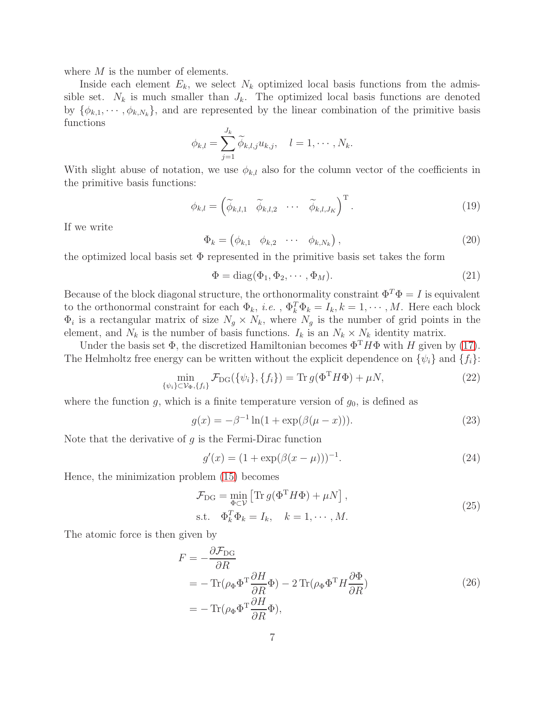where  $M$  is the number of elements.

Inside each element  $E_k$ , we select  $N_k$  optimized local basis functions from the admissible set.  $N_k$  is much smaller than  $J_k$ . The optimized local basis functions are denoted by  $\{\phi_{k,1}, \dots, \phi_{k,N_k}\}\$ , and are represented by the linear combination of the primitive basis functions

$$
\phi_{k,l} = \sum_{j=1}^{J_k} \widetilde{\phi}_{k,l,j} u_{k,j}, \quad l = 1, \cdots, N_k.
$$

With slight abuse of notation, we use  $\phi_{k,l}$  also for the column vector of the coefficients in the primitive basis functions:

$$
\phi_{k,l} = \begin{pmatrix} \widetilde{\phi}_{k,l,1} & \widetilde{\phi}_{k,l,2} & \cdots & \widetilde{\phi}_{k,l,J_K} \end{pmatrix}^{\mathrm{T}}.
$$
\n(19)

If we write

$$
\Phi_k = \begin{pmatrix} \phi_{k,1} & \phi_{k,2} & \cdots & \phi_{k,N_k} \end{pmatrix},\tag{20}
$$

the optimized local basis set  $\Phi$  represented in the primitive basis set takes the form

$$
\Phi = \text{diag}(\Phi_1, \Phi_2, \cdots, \Phi_M). \tag{21}
$$

Because of the block diagonal structure, the orthonormality constraint  $\Phi^T \Phi = I$  is equivalent to the orthonormal constraint for each  $\Phi_k$ , *i.e.*,  $\Phi_k^T \Phi_k = I_k, k = 1, \dots, M$ . Here each block  $\Phi_i$  is a rectangular matrix of size  $N_g \times N_k$ , where  $N_g$  is the number of grid points in the element, and  $N_k$  is the number of basis functions.  $I_k$  is an  $N_k \times N_k$  identity matrix.

Under the basis set  $\Phi$ , the discretized Hamiltonian becomes  $\Phi^T H \Phi$  with H given by [\(17\)](#page-5-0). The Helmholtz free energy can be written without the explicit dependence on  $\{\psi_i\}$  and  $\{f_i\}$ :

$$
\min_{\{\psi_i\} \subset \mathcal{V}_{\Phi}, \{f_i\}} \mathcal{F}_{DG}(\{\psi_i\}, \{f_i\}) = \text{Tr}\, g(\Phi^{\mathrm{T}} H \Phi) + \mu N,\tag{22}
$$

where the function g, which is a finite temperature version of  $g_0$ , is defined as

$$
g(x) = -\beta^{-1} \ln(1 + \exp(\beta(\mu - x))).
$$
 (23)

Note that the derivative of  $g$  is the Fermi-Dirac function

$$
g'(x) = (1 + \exp(\beta(x - \mu)))^{-1}.
$$
\n(24)

<span id="page-6-0"></span>Hence, the minimization problem [\(15\)](#page-5-1) becomes

$$
\mathcal{F}_{\text{DG}} = \min_{\Phi \subset \mathcal{V}} \left[ \text{Tr} \, g(\Phi^{\text{T}} H \Phi) + \mu N \right],
$$
\n
$$
\text{s.t.} \quad \Phi_k^T \Phi_k = I_k, \quad k = 1, \cdots, M.
$$
\n
$$
(25)
$$

The atomic force is then given by

$$
F = -\frac{\partial \mathcal{F}_{DG}}{\partial R}
$$
  
=  $-\text{Tr}(\rho_{\Phi} \Phi^{T} \frac{\partial H}{\partial R} \Phi) - 2 \text{Tr}(\rho_{\Phi} \Phi^{T} H \frac{\partial \Phi}{\partial R})$   
=  $-\text{Tr}(\rho_{\Phi} \Phi^{T} \frac{\partial H}{\partial R} \Phi),$  (26)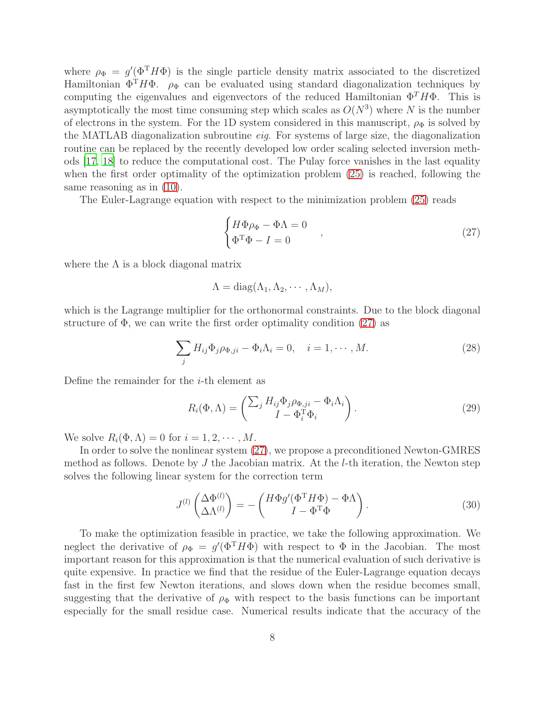where  $\rho_{\Phi} = g'(\Phi^{\mathrm{T}} H \Phi)$  is the single particle density matrix associated to the discretized Hamiltonian  $\Phi^T H \Phi$ .  $\rho_{\Phi}$  can be evaluated using standard diagonalization techniques by computing the eigenvalues and eigenvectors of the reduced Hamiltonian  $\Phi^T H \Phi$ . This is asymptotically the most time consuming step which scales as  $O(N^3)$  where N is the number of electrons in the system. For the 1D system considered in this manuscript,  $\rho_{\Phi}$  is solved by the MATLAB diagonalization subroutine *eig*. For systems of large size, the diagonalization routine can be replaced by the recently developed low order scaling selected inversion methods [\[17](#page-19-13), [18\]](#page-19-14) to reduce the computational cost. The Pulay force vanishes in the last equality when the first order optimality of the optimization problem [\(25\)](#page-6-0) is reached, following the same reasoning as in [\(10\)](#page-3-1).

The Euler-Lagrange equation with respect to the minimization problem [\(25\)](#page-6-0) reads

<span id="page-7-0"></span>
$$
\begin{cases}\nH\Phi\rho_{\Phi} - \Phi\Lambda = 0\\ \Phi^{\mathrm{T}}\Phi - I = 0\n\end{cases}
$$
\n(27)

where the  $\Lambda$  is a block diagonal matrix

 $\Lambda = \text{diag}(\Lambda_1, \Lambda_2, \cdots, \Lambda_M),$ 

which is the Lagrange multiplier for the orthonormal constraints. Due to the block diagonal structure of  $\Phi$ , we can write the first order optimality condition  $(27)$  as

$$
\sum_{j} H_{ij} \Phi_j \rho_{\Phi, ji} - \Phi_i \Lambda_i = 0, \quad i = 1, \cdots, M. \tag{28}
$$

Define the remainder for the  $i$ -th element as

$$
R_i(\Phi,\Lambda) = \begin{pmatrix} \sum_j H_{ij} \Phi_j \rho_{\Phi,ji} - \Phi_i \Lambda_i \\ I - \Phi_i^{\mathrm{T}} \Phi_i \end{pmatrix}.
$$
 (29)

We solve  $R_i(\Phi,\Lambda)=0$  for  $i=1,2,\cdots,M$ .

In order to solve the nonlinear system [\(27\)](#page-7-0), we propose a preconditioned Newton-GMRES method as follows. Denote by  $J$  the Jacobian matrix. At the  $l$ -th iteration, the Newton step solves the following linear system for the correction term

<span id="page-7-1"></span>
$$
J^{(l)}\begin{pmatrix} \Delta \Phi^{(l)} \\ \Delta \Lambda^{(l)} \end{pmatrix} = -\begin{pmatrix} H\Phi g'(\Phi^{\mathrm{T}}H\Phi) - \Phi\Lambda \\ I - \Phi^{\mathrm{T}}\Phi \end{pmatrix}.
$$
 (30)

To make the optimization feasible in practice, we take the following approximation. We neglect the derivative of  $\rho_{\Phi} = g'(\Phi^T H \Phi)$  with respect to  $\Phi$  in the Jacobian. The most important reason for this approximation is that the numerical evaluation of such derivative is quite expensive. In practice we find that the residue of the Euler-Lagrange equation decays fast in the first few Newton iterations, and slows down when the residue becomes small, suggesting that the derivative of  $\rho_{\Phi}$  with respect to the basis functions can be important especially for the small residue case. Numerical results indicate that the accuracy of the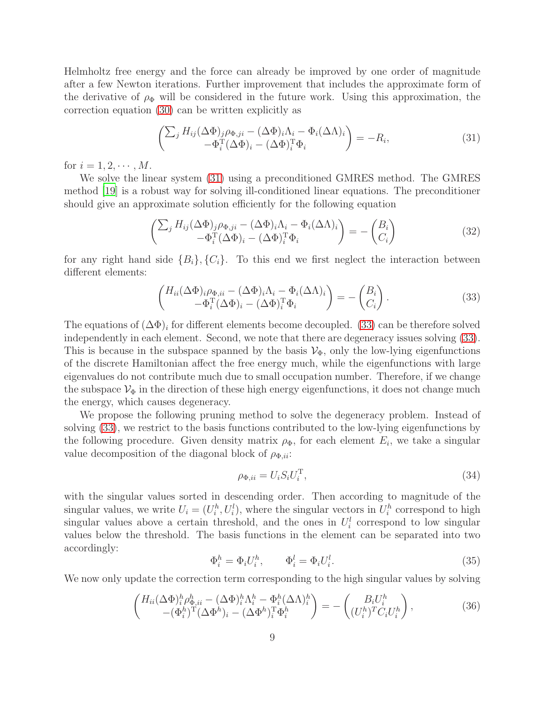Helmholtz free energy and the force can already be improved by one order of magnitude after a few Newton iterations. Further improvement that includes the approximate form of the derivative of  $\rho_{\Phi}$  will be considered in the future work. Using this approximation, the correction equation [\(30\)](#page-7-1) can be written explicitly as

<span id="page-8-0"></span>
$$
\begin{pmatrix} \sum_{j} H_{ij} (\Delta \Phi)_{j} \rho_{\Phi, ji} - (\Delta \Phi)_{i} \Lambda_{i} - \Phi_{i} (\Delta \Lambda)_{i} \\ -\Phi_{i}^{\mathrm{T}} (\Delta \Phi)_{i} - (\Delta \Phi)_{i}^{\mathrm{T}} \Phi_{i} \end{pmatrix} = -R_{i},
$$
\n(31)

for  $i = 1, 2, \cdots, M$ .

We solve the linear system [\(31\)](#page-8-0) using a preconditioned GMRES method. The GMRES method [\[19\]](#page-20-0) is a robust way for solving ill-conditioned linear equations. The preconditioner should give an approximate solution efficiently for the following equation

<span id="page-8-2"></span>
$$
\begin{pmatrix}\n\sum_{j} H_{ij} (\Delta \Phi)_{j} \rho_{\Phi, ji} - (\Delta \Phi)_{i} \Lambda_{i} - \Phi_{i} (\Delta \Lambda)_{i} \\
-\Phi_{i}^{\mathrm{T}} (\Delta \Phi)_{i} - (\Delta \Phi)_{i}^{\mathrm{T}} \Phi_{i}\n\end{pmatrix} = - \begin{pmatrix} B_{i} \\
C_{i} \end{pmatrix}
$$
\n(32)

for any right hand side  ${B_i}$ ,  ${C_i}$ . To this end we first neglect the interaction between different elements:

<span id="page-8-1"></span>
$$
\begin{pmatrix}\nH_{ii}(\Delta \Phi)_{i} \rho_{\Phi, ii} - (\Delta \Phi)_{i} \Lambda_{i} - \Phi_{i}(\Delta \Lambda)_{i} \\
-\Phi_{i}^{\mathrm{T}}(\Delta \Phi)_{i} - (\Delta \Phi)_{i}^{\mathrm{T}} \Phi_{i}\n\end{pmatrix} = - \begin{pmatrix}\nB_{i} \\
C_{i}\n\end{pmatrix}.
$$
\n(33)

The equations of  $(\Delta \Phi)_i$  for different elements become decoupled. [\(33\)](#page-8-1) can be therefore solved independently in each element. Second, we note that there are degeneracy issues solving [\(33\)](#page-8-1). This is because in the subspace spanned by the basis  $V_{\Phi}$ , only the low-lying eigenfunctions of the discrete Hamiltonian affect the free energy much, while the eigenfunctions with large eigenvalues do not contribute much due to small occupation number. Therefore, if we change the subspace  $\mathcal{V}_{\Phi}$  in the direction of these high energy eigenfunctions, it does not change much the energy, which causes degeneracy.

We propose the following pruning method to solve the degeneracy problem. Instead of solving [\(33\)](#page-8-1), we restrict to the basis functions contributed to the low-lying eigenfunctions by the following procedure. Given density matrix  $\rho_{\Phi}$ , for each element  $E_i$ , we take a singular value decomposition of the diagonal block of  $\rho_{\Phi,ii}$ :

$$
\rho_{\Phi,ii} = U_i S_i U_i^{\mathrm{T}},\tag{34}
$$

with the singular values sorted in descending order. Then according to magnitude of the singular values, we write  $U_i = (U_i^h, U_i^l)$ , where the singular vectors in  $U_i^h$  correspond to high singular values above a certain threshold, and the ones in  $U_i^l$  correspond to low singular values below the threshold. The basis functions in the element can be separated into two accordingly:

$$
\Phi_i^h = \Phi_i U_i^h, \qquad \Phi_i^l = \Phi_i U_i^l. \tag{35}
$$

We now only update the correction term corresponding to the high singular values by solving

$$
\begin{pmatrix}\nH_{ii}(\Delta \Phi)^h_i \rho^h_{\Phi, ii} - (\Delta \Phi)^h_i \Lambda^h_i - \Phi^h_i (\Delta \Lambda)^h_i \\
-(\Phi^h_i)^T (\Delta \Phi^h)_i - (\Delta \Phi^h)_i^T \Phi^h_i\n\end{pmatrix} = - \begin{pmatrix}\nB_i U^h_i \\
(U^h_i)^T C_i U^h_i\n\end{pmatrix},
$$
\n(36)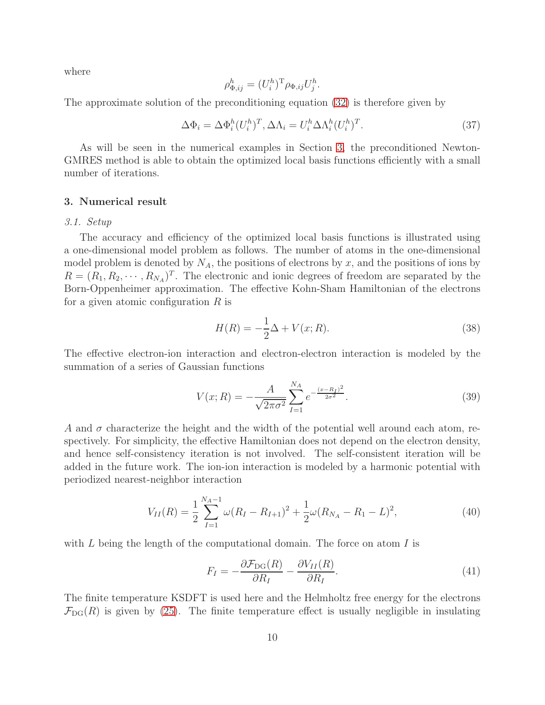where

$$
\rho_{\Phi,ij}^h = (U_i^h)^{\mathrm{T}} \rho_{\Phi,ij} U_j^h.
$$

The approximate solution of the preconditioning equation [\(32\)](#page-8-2) is therefore given by

$$
\Delta \Phi_i = \Delta \Phi_i^h (U_i^h)^T, \Delta \Lambda_i = U_i^h \Delta \Lambda_i^h (U_i^h)^T.
$$
\n(37)

As will be seen in the numerical examples in Section [3,](#page-9-0) the preconditioned Newton-GMRES method is able to obtain the optimized local basis functions efficiently with a small number of iterations.

# <span id="page-9-0"></span>3. Numerical result

# *3.1. Setup*

The accuracy and efficiency of the optimized local basis functions is illustrated using a one-dimensional model problem as follows. The number of atoms in the one-dimensional model problem is denoted by  $N_A$ , the positions of electrons by x, and the positions of ions by  $R = (R_1, R_2, \cdots, R_{N_A})^T$ . The electronic and ionic degrees of freedom are separated by the Born-Oppenheimer approximation. The effective Kohn-Sham Hamiltonian of the electrons for a given atomic configuration  $R$  is

$$
H(R) = -\frac{1}{2}\Delta + V(x;R).
$$
 (38)

The effective electron-ion interaction and electron-electron interaction is modeled by the summation of a series of Gaussian functions

<span id="page-9-1"></span>
$$
V(x;R) = -\frac{A}{\sqrt{2\pi\sigma^2}} \sum_{I=1}^{N_A} e^{-\frac{(x-R_I)^2}{2\sigma^2}}.
$$
\n(39)

A and  $\sigma$  characterize the height and the width of the potential well around each atom, respectively. For simplicity, the effective Hamiltonian does not depend on the electron density, and hence self-consistency iteration is not involved. The self-consistent iteration will be added in the future work. The ion-ion interaction is modeled by a harmonic potential with periodized nearest-neighbor interaction

$$
V_{II}(R) = \frac{1}{2} \sum_{I=1}^{N_A - 1} \omega (R_I - R_{I+1})^2 + \frac{1}{2} \omega (R_{N_A} - R_1 - L)^2, \tag{40}
$$

with  $L$  being the length of the computational domain. The force on atom  $I$  is

<span id="page-9-2"></span>
$$
F_I = -\frac{\partial \mathcal{F}_{\text{DG}}(R)}{\partial R_I} - \frac{\partial V_{II}(R)}{\partial R_I}.
$$
\n(41)

The finite temperature KSDFT is used here and the Helmholtz free energy for the electrons  $\mathcal{F}_{DG}(R)$  is given by [\(25\)](#page-6-0). The finite temperature effect is usually negligible in insulating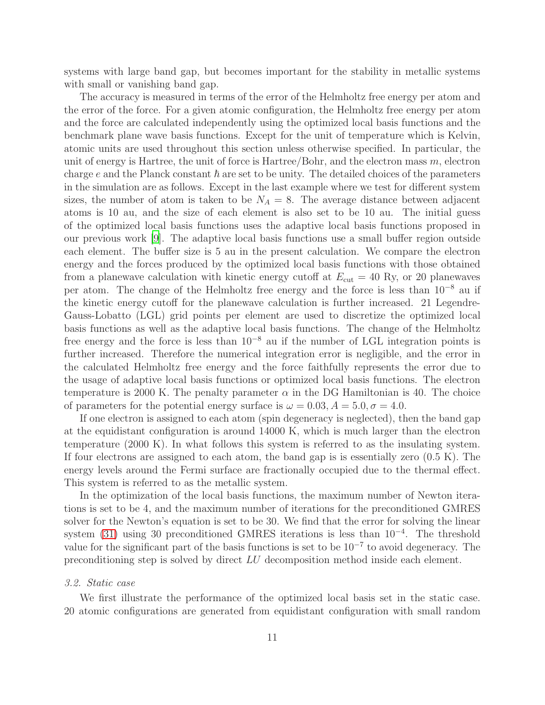systems with large band gap, but becomes important for the stability in metallic systems with small or vanishing band gap.

The accuracy is measured in terms of the error of the Helmholtz free energy per atom and the error of the force. For a given atomic configuration, the Helmholtz free energy per atom and the force are calculated independently using the optimized local basis functions and the benchmark plane wave basis functions. Except for the unit of temperature which is Kelvin, atomic units are used throughout this section unless otherwise specified. In particular, the unit of energy is Hartree, the unit of force is Hartree/Bohr, and the electron mass  $m$ , electron charge e and the Planck constant  $\hbar$  are set to be unity. The detailed choices of the parameters in the simulation are as follows. Except in the last example where we test for different system sizes, the number of atom is taken to be  $N_A = 8$ . The average distance between adjacent atoms is 10 au, and the size of each element is also set to be 10 au. The initial guess of the optimized local basis functions uses the adaptive local basis functions proposed in our previous work [\[9](#page-19-5)]. The adaptive local basis functions use a small buffer region outside each element. The buffer size is 5 au in the present calculation. We compare the electron energy and the forces produced by the optimized local basis functions with those obtained from a planewave calculation with kinetic energy cutoff at  $E_{\text{cut}} = 40$  Ry, or 20 planewaves per atom. The change of the Helmholtz free energy and the force is less than 10<sup>−</sup><sup>8</sup> au if the kinetic energy cutoff for the planewave calculation is further increased. 21 Legendre-Gauss-Lobatto (LGL) grid points per element are used to discretize the optimized local basis functions as well as the adaptive local basis functions. The change of the Helmholtz free energy and the force is less than  $10^{-8}$  au if the number of LGL integration points is further increased. Therefore the numerical integration error is negligible, and the error in the calculated Helmholtz free energy and the force faithfully represents the error due to the usage of adaptive local basis functions or optimized local basis functions. The electron temperature is 2000 K. The penalty parameter  $\alpha$  in the DG Hamiltonian is 40. The choice of parameters for the potential energy surface is  $\omega = 0.03$ ,  $A = 5.0$ ,  $\sigma = 4.0$ .

If one electron is assigned to each atom (spin degeneracy is neglected), then the band gap at the equidistant configuration is around 14000 K, which is much larger than the electron temperature (2000 K). In what follows this system is referred to as the insulating system. If four electrons are assigned to each atom, the band gap is is essentially zero  $(0.5 \text{ K})$ . The energy levels around the Fermi surface are fractionally occupied due to the thermal effect. This system is referred to as the metallic system.

In the optimization of the local basis functions, the maximum number of Newton iterations is set to be 4, and the maximum number of iterations for the preconditioned GMRES solver for the Newton's equation is set to be 30. We find that the error for solving the linear system [\(31\)](#page-8-0) using 30 preconditioned GMRES iterations is less than 10<sup>-4</sup>. The threshold value for the significant part of the basis functions is set to be  $10^{-7}$  to avoid degeneracy. The preconditioning step is solved by direct LU decomposition method inside each element.

# <span id="page-10-0"></span>*3.2. Static case*

We first illustrate the performance of the optimized local basis set in the static case. 20 atomic configurations are generated from equidistant configuration with small random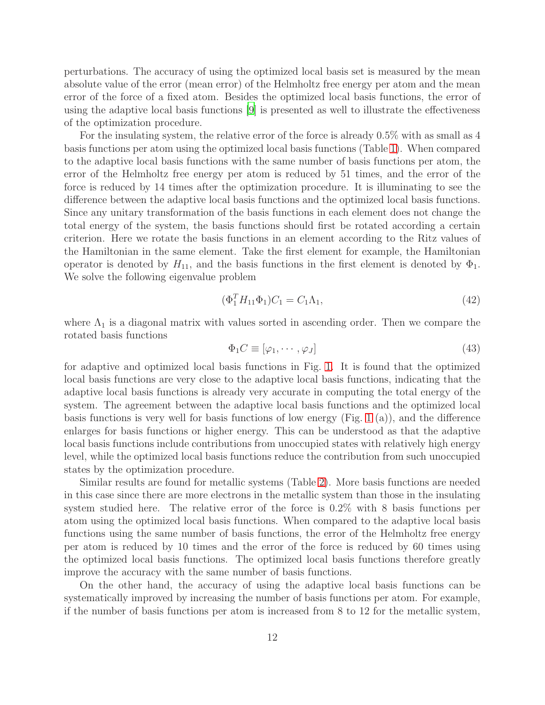perturbations. The accuracy of using the optimized local basis set is measured by the mean absolute value of the error (mean error) of the Helmholtz free energy per atom and the mean error of the force of a fixed atom. Besides the optimized local basis functions, the error of using the adaptive local basis functions [\[9](#page-19-5)] is presented as well to illustrate the effectiveness of the optimization procedure.

For the insulating system, the relative error of the force is already 0.5% with as small as 4 basis functions per atom using the optimized local basis functions (Table [1\)](#page-12-0). When compared to the adaptive local basis functions with the same number of basis functions per atom, the error of the Helmholtz free energy per atom is reduced by 51 times, and the error of the force is reduced by 14 times after the optimization procedure. It is illuminating to see the difference between the adaptive local basis functions and the optimized local basis functions. Since any unitary transformation of the basis functions in each element does not change the total energy of the system, the basis functions should first be rotated according a certain criterion. Here we rotate the basis functions in an element according to the Ritz values of the Hamiltonian in the same element. Take the first element for example, the Hamiltonian operator is denoted by  $H_{11}$ , and the basis functions in the first element is denoted by  $\Phi_1$ . We solve the following eigenvalue problem

$$
(\Phi_1^T H_{11} \Phi_1) C_1 = C_1 \Lambda_1,\tag{42}
$$

where  $\Lambda_1$  is a diagonal matrix with values sorted in ascending order. Then we compare the rotated basis functions

$$
\Phi_1 C \equiv [\varphi_1, \cdots, \varphi_J] \tag{43}
$$

for adaptive and optimized local basis functions in Fig. [1.](#page-21-0) It is found that the optimized local basis functions are very close to the adaptive local basis functions, indicating that the adaptive local basis functions is already very accurate in computing the total energy of the system. The agreement between the adaptive local basis functions and the optimized local basis functions is very well for basis functions of low energy (Fig. [1](#page-21-0) (a)), and the difference enlarges for basis functions or higher energy. This can be understood as that the adaptive local basis functions include contributions from unoccupied states with relatively high energy level, while the optimized local basis functions reduce the contribution from such unoccupied states by the optimization procedure.

Similar results are found for metallic systems (Table [2\)](#page-12-1). More basis functions are needed in this case since there are more electrons in the metallic system than those in the insulating system studied here. The relative error of the force is 0.2% with 8 basis functions per atom using the optimized local basis functions. When compared to the adaptive local basis functions using the same number of basis functions, the error of the Helmholtz free energy per atom is reduced by 10 times and the error of the force is reduced by 60 times using the optimized local basis functions. The optimized local basis functions therefore greatly improve the accuracy with the same number of basis functions.

On the other hand, the accuracy of using the adaptive local basis functions can be systematically improved by increasing the number of basis functions per atom. For example, if the number of basis functions per atom is increased from 8 to 12 for the metallic system,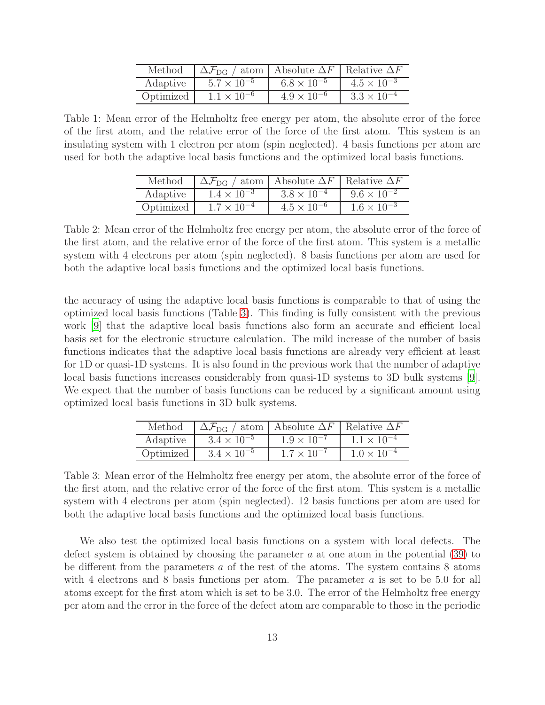| Method    | $\Delta\mathcal{F}_{\text{DG}}$ / atom   Absolute $\Delta F$   Relative $\Delta F$ |                      |                      |
|-----------|------------------------------------------------------------------------------------|----------------------|----------------------|
| Adaptive  | $5.7 \times 10^{-5}$                                                               | $6.8 \times 10^{-5}$ | $4.5 \times 10^{-3}$ |
| Optimized | $1.1 \times 10^{-6}$                                                               | $4.9 \times 10^{-6}$ | $3.3 \times 10^{-4}$ |

<span id="page-12-1"></span><span id="page-12-0"></span>Table 1: Mean error of the Helmholtz free energy per atom, the absolute error of the force of the first atom, and the relative error of the force of the first atom. This system is an insulating system with 1 electron per atom (spin neglected). 4 basis functions per atom are used for both the adaptive local basis functions and the optimized local basis functions.

| Method    | $\Delta\mathcal{F}_{\text{DG}}$ / atom   Absolute $\Delta F$   Relative $\Delta F$ |                      |                      |
|-----------|------------------------------------------------------------------------------------|----------------------|----------------------|
| Adaptive  | $1.4 \times 10^{-3}$                                                               | $3.8 \times 10^{-4}$ | $9.6 \times 10^{-2}$ |
| Optimized | $1.7 \times 10^{-4}$                                                               | $4.5 \times 10^{-6}$ | $1.6 \times 10^{-3}$ |

Table 2: Mean error of the Helmholtz free energy per atom, the absolute error of the force of the first atom, and the relative error of the force of the first atom. This system is a metallic system with 4 electrons per atom (spin neglected). 8 basis functions per atom are used for both the adaptive local basis functions and the optimized local basis functions.

the accuracy of using the adaptive local basis functions is comparable to that of using the optimized local basis functions (Table [3\)](#page-12-2). This finding is fully consistent with the previous work [\[9](#page-19-5)] that the adaptive local basis functions also form an accurate and efficient local basis set for the electronic structure calculation. The mild increase of the number of basis functions indicates that the adaptive local basis functions are already very efficient at least for 1D or quasi-1D systems. It is also found in the previous work that the number of adaptive local basis functions increases considerably from quasi-1D systems to 3D bulk systems [\[9\]](#page-19-5). We expect that the number of basis functions can be reduced by a significant amount using optimized local basis functions in 3D bulk systems.

| Method    | $\Delta \mathcal{F}_{\text{DG}}$ .<br>$/$ atom | Absolute $\Delta F$  | Relative $\Delta F$  |
|-----------|------------------------------------------------|----------------------|----------------------|
| Adaptive  | $3.4 \times 10^{-5}$                           | $1.9 \times 10^{-7}$ | $1.1 \times 10^{-4}$ |
| Optimized | $3.4 \times 10^{-5}$                           | $1.7 \times 10^{-7}$ | $1.0 \times 10^{-4}$ |

<span id="page-12-2"></span>Table 3: Mean error of the Helmholtz free energy per atom, the absolute error of the force of the first atom, and the relative error of the force of the first atom. This system is a metallic system with 4 electrons per atom (spin neglected). 12 basis functions per atom are used for both the adaptive local basis functions and the optimized local basis functions.

We also test the optimized local basis functions on a system with local defects. The defect system is obtained by choosing the parameter  $a$  at one atom in the potential [\(39\)](#page-9-1) to be different from the parameters a of the rest of the atoms. The system contains 8 atoms with 4 electrons and 8 basis functions per atom. The parameter  $a$  is set to be 5.0 for all atoms except for the first atom which is set to be 3.0. The error of the Helmholtz free energy per atom and the error in the force of the defect atom are comparable to those in the periodic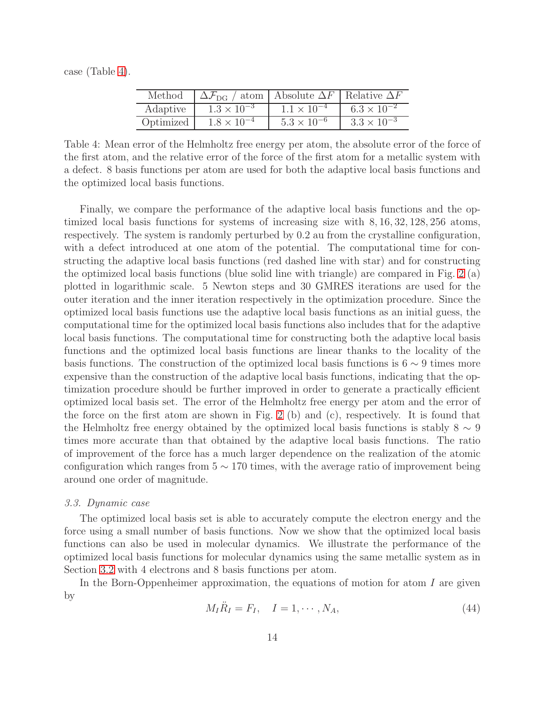<span id="page-13-0"></span>case (Table [4\)](#page-13-0).

| Method    | $\Delta\mathcal{F}_{\text{DG}}$ / atom   Absolute $\Delta F$   Relative $\Delta F$ |                      |                      |
|-----------|------------------------------------------------------------------------------------|----------------------|----------------------|
| Adaptive  | $1.3 \times 10^{-3}$                                                               | $1.1 \times 10^{-4}$ | $6.3 \times 10^{-2}$ |
| Optimized | $1.8 \times 10^{-4}$                                                               | $5.3 \times 10^{-6}$ | $3.3 \times 10^{-3}$ |

Table 4: Mean error of the Helmholtz free energy per atom, the absolute error of the force of the first atom, and the relative error of the force of the first atom for a metallic system with a defect. 8 basis functions per atom are used for both the adaptive local basis functions and the optimized local basis functions.

Finally, we compare the performance of the adaptive local basis functions and the optimized local basis functions for systems of increasing size with 8, 16, 32, 128, 256 atoms, respectively. The system is randomly perturbed by 0.2 au from the crystalline configuration, with a defect introduced at one atom of the potential. The computational time for constructing the adaptive local basis functions (red dashed line with star) and for constructing the optimized local basis functions (blue solid line with triangle) are compared in Fig. [2](#page-22-0) (a) plotted in logarithmic scale. 5 Newton steps and 30 GMRES iterations are used for the outer iteration and the inner iteration respectively in the optimization procedure. Since the optimized local basis functions use the adaptive local basis functions as an initial guess, the computational time for the optimized local basis functions also includes that for the adaptive local basis functions. The computational time for constructing both the adaptive local basis functions and the optimized local basis functions are linear thanks to the locality of the basis functions. The construction of the optimized local basis functions is  $6 \sim 9$  times more expensive than the construction of the adaptive local basis functions, indicating that the optimization procedure should be further improved in order to generate a practically efficient optimized local basis set. The error of the Helmholtz free energy per atom and the error of the force on the first atom are shown in Fig. [2](#page-22-0) (b) and (c), respectively. It is found that the Helmholtz free energy obtained by the optimized local basis functions is stably  $8 \sim 9$ times more accurate than that obtained by the adaptive local basis functions. The ratio of improvement of the force has a much larger dependence on the realization of the atomic configuration which ranges from  $5 \sim 170$  times, with the average ratio of improvement being around one order of magnitude.

# *3.3. Dynamic case*

The optimized local basis set is able to accurately compute the electron energy and the force using a small number of basis functions. Now we show that the optimized local basis functions can also be used in molecular dynamics. We illustrate the performance of the optimized local basis functions for molecular dynamics using the same metallic system as in Section [3.2](#page-10-0) with 4 electrons and 8 basis functions per atom.

In the Born-Oppenheimer approximation, the equations of motion for atom  $I$  are given by

<span id="page-13-1"></span>
$$
M_I \ddot{R}_I = F_I, \quad I = 1, \cdots, N_A,
$$
\n
$$
(44)
$$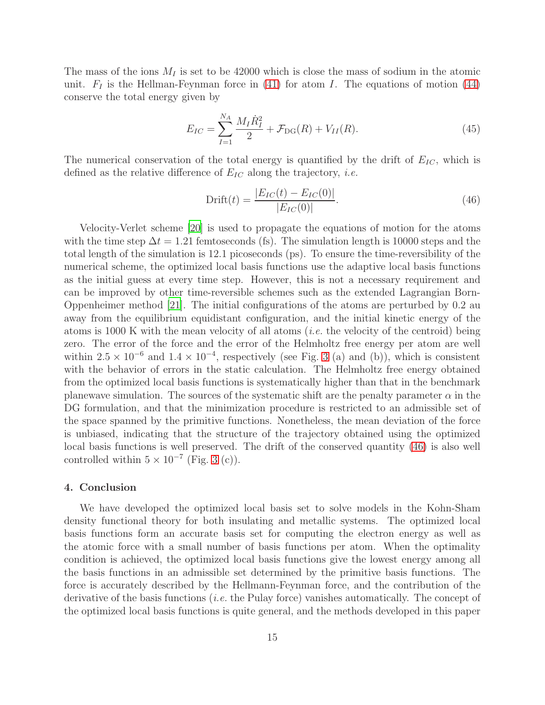The mass of the ions  $M_I$  is set to be 42000 which is close the mass of sodium in the atomic unit.  $F_I$  is the Hellman-Feynman force in [\(41\)](#page-9-2) for atom I. The equations of motion [\(44\)](#page-13-1) conserve the total energy given by

$$
E_{IC} = \sum_{I=1}^{N_A} \frac{M_I \dot{R}_I^2}{2} + \mathcal{F}_{DG}(R) + V_{II}(R). \tag{45}
$$

The numerical conservation of the total energy is quantified by the drift of  $E_{IC}$ , which is defined as the relative difference of  $E_{IC}$  along the trajectory, *i.e.* 

<span id="page-14-1"></span>
$$
Drift(t) = \frac{|E_{IC}(t) - E_{IC}(0)|}{|E_{IC}(0)|}.
$$
\n(46)

Velocity-Verlet scheme [\[20](#page-20-1)] is used to propagate the equations of motion for the atoms with the time step  $\Delta t = 1.21$  femtoseconds (fs). The simulation length is 10000 steps and the total length of the simulation is 12.1 picoseconds (ps). To ensure the time-reversibility of the numerical scheme, the optimized local basis functions use the adaptive local basis functions as the initial guess at every time step. However, this is not a necessary requirement and can be improved by other time-reversible schemes such as the extended Lagrangian Born-Oppenheimer method [\[21\]](#page-20-2). The initial configurations of the atoms are perturbed by 0.2 au away from the equilibrium equidistant configuration, and the initial kinetic energy of the atoms is 1000 K with the mean velocity of all atoms (*i.e.* the velocity of the centroid) being zero. The error of the force and the error of the Helmholtz free energy per atom are well within  $2.5 \times 10^{-6}$  and  $1.4 \times 10^{-4}$ , respectively (see Fig. [3](#page-22-1) (a) and (b)), which is consistent with the behavior of errors in the static calculation. The Helmholtz free energy obtained from the optimized local basis functions is systematically higher than that in the benchmark planewave simulation. The sources of the systematic shift are the penalty parameter  $\alpha$  in the DG formulation, and that the minimization procedure is restricted to an admissible set of the space spanned by the primitive functions. Nonetheless, the mean deviation of the force is unbiased, indicating that the structure of the trajectory obtained using the optimized local basis functions is well preserved. The drift of the conserved quantity [\(46\)](#page-14-1) is also well controlled within  $5 \times 10^{-7}$  (Fig. [3](#page-22-1) (c)).

# <span id="page-14-0"></span>4. Conclusion

We have developed the optimized local basis set to solve models in the Kohn-Sham density functional theory for both insulating and metallic systems. The optimized local basis functions form an accurate basis set for computing the electron energy as well as the atomic force with a small number of basis functions per atom. When the optimality condition is achieved, the optimized local basis functions give the lowest energy among all the basis functions in an admissible set determined by the primitive basis functions. The force is accurately described by the Hellmann-Feynman force, and the contribution of the derivative of the basis functions (*i.e.* the Pulay force) vanishes automatically. The concept of the optimized local basis functions is quite general, and the methods developed in this paper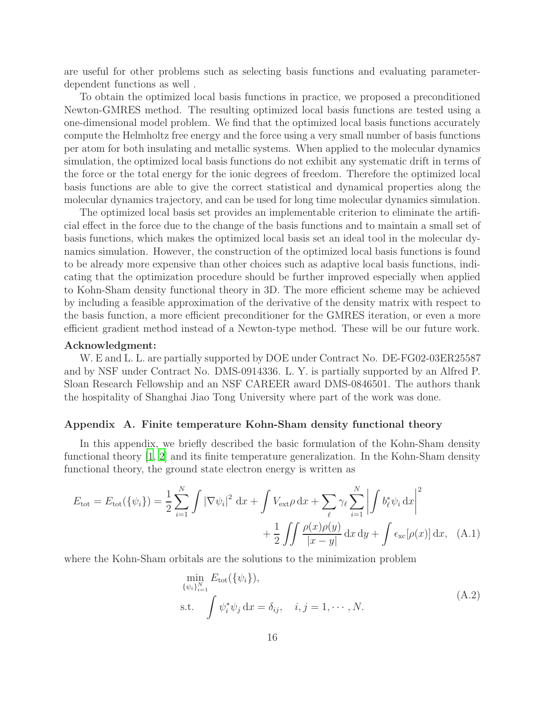are useful for other problems such as selecting basis functions and evaluating parameterdependent functions as well .

To obtain the optimized local basis functions in practice, we proposed a preconditioned Newton-GMRES method. The resulting optimized local basis functions are tested using a one-dimensional model problem. We find that the optimized local basis functions accurately compute the Helmholtz free energy and the force using a very small number of basis functions per atom for both insulating and metallic systems. When applied to the molecular dynamics simulation, the optimized local basis functions do not exhibit any systematic drift in terms of the force or the total energy for the ionic degrees of freedom. Therefore the optimized local basis functions are able to give the correct statistical and dynamical properties along the molecular dynamics trajectory, and can be used for long time molecular dynamics simulation.

The optimized local basis set provides an implementable criterion to eliminate the artificial effect in the force due to the change of the basis functions and to maintain a small set of basis functions, which makes the optimized local basis set an ideal tool in the molecular dynamics simulation. However, the construction of the optimized local basis functions is found to be already more expensive than other choices such as adaptive local basis functions, indicating that the optimization procedure should be further improved especially when applied to Kohn-Sham density functional theory in 3D. The more efficient scheme may be achieved by including a feasible approximation of the derivative of the density matrix with respect to the basis function, a more efficient preconditioner for the GMRES iteration, or even a more efficient gradient method instead of a Newton-type method. These will be our future work.

# Acknowledgment:

W. E and L. L. are partially supported by DOE under Contract No. DE-FG02-03ER25587 and by NSF under Contract No. DMS-0914336. L. Y. is partially supported by an Alfred P. Sloan Research Fellowship and an NSF CAREER award DMS-0846501. The authors thank the hospitality of Shanghai Jiao Tong University where part of the work was done.

# <span id="page-15-0"></span>Appendix A. Finite temperature Kohn-Sham density functional theory

In this appendix, we briefly described the basic formulation of the Kohn-Sham density functional theory [\[1](#page-18-0), [2\]](#page-18-1) and its finite temperature generalization. In the Kohn-Sham density functional theory, the ground state electron energy is written as

$$
E_{\text{tot}} = E_{\text{tot}}(\{\psi_i\}) = \frac{1}{2} \sum_{i=1}^{N} \int |\nabla \psi_i|^2 dx + \int V_{\text{ext}} \rho dx + \sum_{\ell} \gamma_{\ell} \sum_{i=1}^{N} \left| \int b_{\ell}^* \psi_i dx \right|^2
$$

$$
+ \frac{1}{2} \iint \frac{\rho(x)\rho(y)}{|x-y|} dx dy + \int \epsilon_{\text{xc}}[\rho(x)] dx, \quad (A.1)
$$

<span id="page-15-1"></span>where the Kohn-Sham orbitals are the solutions to the minimization problem

<span id="page-15-2"></span>
$$
\min_{\{\psi_i\}_{i=1}^N} E_{\text{tot}}(\{\psi_i\}),
$$
\ns.t. 
$$
\int \psi_i^* \psi_j \, dx = \delta_{ij}, \quad i, j = 1, \cdots, N.
$$
\n(A.2)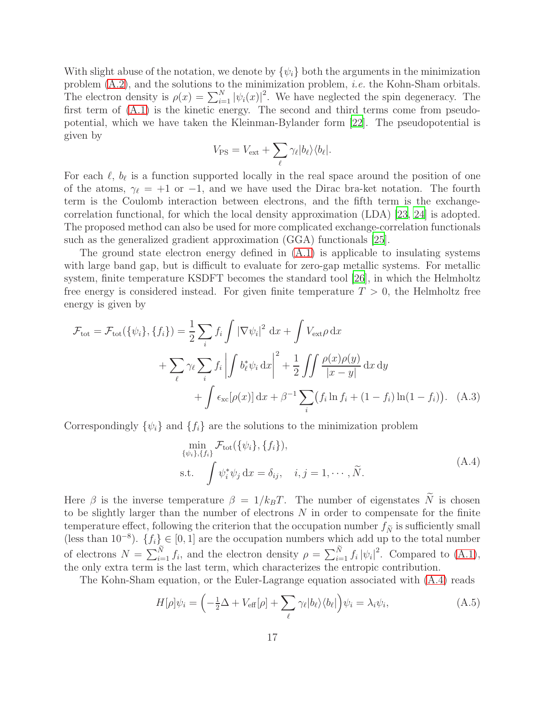With slight abuse of the notation, we denote by  $\{\psi_i\}$  both the arguments in the minimization problem [\(A.2\)](#page-15-1), and the solutions to the minimization problem, *i.e.* the Kohn-Sham orbitals. The electron density is  $\rho(x) = \sum_{i=1}^{N} |\psi_i(x)|^2$ . We have neglected the spin degeneracy. The first term of [\(A.1\)](#page-15-2) is the kinetic energy. The second and third terms come from pseudopotential, which we have taken the Kleinman-Bylander form [\[22\]](#page-20-3). The pseudopotential is given by

$$
V_{\rm PS} = V_{\rm ext} + \sum_{\ell} \gamma_{\ell} |b_{\ell}\rangle \langle b_{\ell}|.
$$

For each  $\ell$ ,  $b_{\ell}$  is a function supported locally in the real space around the position of one of the atoms,  $\gamma_{\ell} = +1$  or  $-1$ , and we have used the Dirac bra-ket notation. The fourth term is the Coulomb interaction between electrons, and the fifth term is the exchangecorrelation functional, for which the local density approximation (LDA) [\[23](#page-20-4), [24](#page-20-5)] is adopted. The proposed method can also be used for more complicated exchange-correlation functionals such as the generalized gradient approximation (GGA) functionals [\[25](#page-20-6)].

The ground state electron energy defined in [\(A.1\)](#page-15-2) is applicable to insulating systems with large band gap, but is difficult to evaluate for zero-gap metallic systems. For metallic system, finite temperature KSDFT becomes the standard tool [\[26\]](#page-20-7), in which the Helmholtz free energy is considered instead. For given finite temperature  $T > 0$ , the Helmholtz free energy is given by

$$
\mathcal{F}_{\text{tot}} = \mathcal{F}_{\text{tot}}(\{\psi_i\}, \{f_i\}) = \frac{1}{2} \sum_i f_i \int |\nabla \psi_i|^2 dx + \int V_{\text{ext}} \rho dx
$$
  
+ 
$$
\sum_{\ell} \gamma_{\ell} \sum_i f_i \left| \int b_{\ell}^* \psi_i dx \right|^2 + \frac{1}{2} \int \int \frac{\rho(x)\rho(y)}{|x-y|} dx dy
$$
  
+ 
$$
\int \epsilon_{\text{xc}}[\rho(x)] dx + \beta^{-1} \sum_i (f_i \ln f_i + (1 - f_i) \ln(1 - f_i)). \quad (A.3)
$$

<span id="page-16-0"></span>Correspondingly  $\{\psi_i\}$  and  $\{f_i\}$  are the solutions to the minimization problem

$$
\min_{\{\psi_i\},\{f_i\}} \mathcal{F}_{\text{tot}}(\{\psi_i\}, \{f_i\}),
$$
\ns.t. 
$$
\int \psi_i^* \psi_j \, dx = \delta_{ij}, \quad i, j = 1, \cdots, \widetilde{N}.
$$
\n(A.4)

Here  $\beta$  is the inverse temperature  $\beta = 1/k_BT$ . The number of eigenstates  $\tilde{N}$  is chosen to be slightly larger than the number of electrons N in order to compensate for the finite temperature effect, following the criterion that the occupation number  $f_{\widetilde{N}}$  is sufficiently small (less than  $10^{-8}$ ).  $\{f_i\} \in [0, 1]$  are the occupation numbers which add up to the total number of electrons  $N = \sum_{i=1}^{N} f_i$ , and the electron density  $\rho = \sum_{i=1}^{N} f_i |\psi_i|^2$ . Compared to [\(A.1\)](#page-15-2), the only extra term is the last term, which characterizes the entropic contribution.

The Kohn-Sham equation, or the Euler-Lagrange equation associated with [\(A.4\)](#page-16-0) reads

<span id="page-16-1"></span>
$$
H[\rho]\psi_i = \left(-\frac{1}{2}\Delta + V_{\text{eff}}[\rho] + \sum_{\ell} \gamma_{\ell} |b_{\ell}\rangle \langle b_{\ell}| \right) \psi_i = \lambda_i \psi_i, \tag{A.5}
$$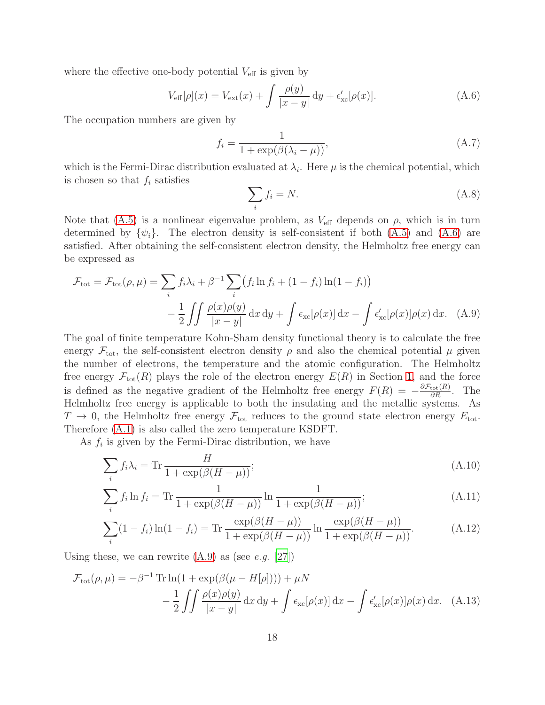where the effective one-body potential  $V_{\text{eff}}$  is given by

<span id="page-17-0"></span>
$$
V_{\text{eff}}[\rho](x) = V_{\text{ext}}(x) + \int \frac{\rho(y)}{|x - y|} dy + \epsilon'_{\text{xc}}[\rho(x)].
$$
\n(A.6)

The occupation numbers are given by

<span id="page-17-3"></span>
$$
f_i = \frac{1}{1 + \exp(\beta(\lambda_i - \mu))},\tag{A.7}
$$

which is the Fermi-Dirac distribution evaluated at  $\lambda_i$ . Here  $\mu$  is the chemical potential, which is chosen so that  $f_i$  satisfies

<span id="page-17-4"></span><span id="page-17-1"></span>
$$
\sum_{i} f_i = N. \tag{A.8}
$$

Note that [\(A.5\)](#page-16-1) is a nonlinear eigenvalue problem, as  $V_{\text{eff}}$  depends on  $\rho$ , which is in turn determined by  $\{\psi_i\}$ . The electron density is self-consistent if both [\(A.5\)](#page-16-1) and [\(A.6\)](#page-17-0) are satisfied. After obtaining the self-consistent electron density, the Helmholtz free energy can be expressed as

$$
\mathcal{F}_{\text{tot}} = \mathcal{F}_{\text{tot}}(\rho, \mu) = \sum_{i} f_i \lambda_i + \beta^{-1} \sum_{i} \left( f_i \ln f_i + (1 - f_i) \ln(1 - f_i) \right)
$$

$$
- \frac{1}{2} \iint \frac{\rho(x)\rho(y)}{|x - y|} dx dy + \int \epsilon_{\text{xc}}[\rho(x)] dx - \int \epsilon'_{\text{xc}}[\rho(x)]\rho(x) dx. \quad (A.9)
$$

The goal of finite temperature Kohn-Sham density functional theory is to calculate the free energy  $\mathcal{F}_{\text{tot}}$ , the self-consistent electron density  $\rho$  and also the chemical potential  $\mu$  given the number of electrons, the temperature and the atomic configuration. The Helmholtz free energy  $\mathcal{F}_{\text{tot}}(R)$  plays the role of the electron energy  $E(R)$  in Section [1,](#page-0-0) and the force is defined as the negative gradient of the Helmholtz free energy  $F(R) = -\frac{\partial \mathcal{F}_{\text{tot}}(R)}{\partial R}$ . The Helmholtz free energy is applicable to both the insulating and the metallic systems. As  $T \to 0$ , the Helmholtz free energy  $\mathcal{F}_{\text{tot}}$  reduces to the ground state electron energy  $E_{\text{tot}}$ . Therefore [\(A.1\)](#page-15-2) is also called the zero temperature KSDFT.

As  $f_i$  is given by the Fermi-Dirac distribution, we have

$$
\sum_{i} f_i \lambda_i = \text{Tr} \frac{H}{1 + \exp(\beta(H - \mu))};\tag{A.10}
$$

$$
\sum_{i} f_i \ln f_i = \text{Tr} \frac{1}{1 + \exp(\beta(H - \mu))} \ln \frac{1}{1 + \exp(\beta(H - \mu))};
$$
\n(A.11)

<span id="page-17-2"></span>
$$
\sum_{i} (1 - f_i) \ln(1 - f_i) = \text{Tr} \frac{\exp(\beta(H - \mu))}{1 + \exp(\beta(H - \mu))} \ln \frac{\exp(\beta(H - \mu))}{1 + \exp(\beta(H - \mu))}.
$$
 (A.12)

Using these, we can rewrite [\(A.9\)](#page-17-1) as (see *e.g.* [\[27](#page-20-8)])

$$
\mathcal{F}_{\text{tot}}(\rho,\mu) = -\beta^{-1} \operatorname{Tr} \ln(1 + \exp(\beta(\mu - H[\rho]))) + \mu N
$$

$$
- \frac{1}{2} \iint \frac{\rho(x)\rho(y)}{|x - y|} dx dy + \int \epsilon_{\text{xc}}[\rho(x)] dx - \int \epsilon_{\text{xc}}'[\rho(x)]\rho(x) dx. \quad (A.13)
$$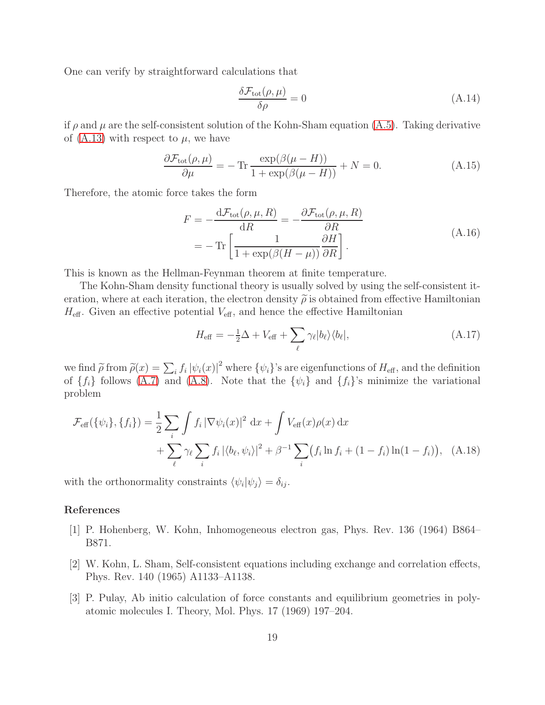One can verify by straightforward calculations that

$$
\frac{\delta \mathcal{F}_{\text{tot}}(\rho, \mu)}{\delta \rho} = 0 \tag{A.14}
$$

if  $\rho$  and  $\mu$  are the self-consistent solution of the Kohn-Sham equation [\(A.5\)](#page-16-1). Taking derivative of  $(A.13)$  with respect to  $\mu$ , we have

$$
\frac{\partial \mathcal{F}_{\text{tot}}(\rho,\mu)}{\partial \mu} = -\operatorname{Tr} \frac{\exp(\beta(\mu - H))}{1 + \exp(\beta(\mu - H))} + N = 0. \tag{A.15}
$$

Therefore, the atomic force takes the form

$$
F = -\frac{\mathrm{d}\mathcal{F}_{\text{tot}}(\rho,\mu,R)}{\mathrm{d}R} = -\frac{\partial \mathcal{F}_{\text{tot}}(\rho,\mu,R)}{\partial R}
$$
  
= 
$$
-\operatorname{Tr}\left[\frac{1}{1+\exp(\beta(H-\mu))}\frac{\partial H}{\partial R}\right].
$$
 (A.16)

This is known as the Hellman-Feynman theorem at finite temperature.

The Kohn-Sham density functional theory is usually solved by using the self-consistent iteration, where at each iteration, the electron density  $\tilde{\rho}$  is obtained from effective Hamiltonian  $H_{\text{eff}}$ . Given an effective potential  $V_{\text{eff}}$ , and hence the effective Hamiltonian

<span id="page-18-3"></span>
$$
H_{\text{eff}} = -\frac{1}{2}\Delta + V_{\text{eff}} + \sum_{\ell} \gamma_{\ell} |b_{\ell}\rangle \langle b_{\ell}|,\tag{A.17}
$$

we find  $\tilde{\rho}$  from  $\tilde{\rho}(x) = \sum_i f_i |\psi_i(x)|^2$  where  $\{\psi_i\}$ 's are eigenfunctions of  $H_{\text{eff}}$ , and the definition of  $\{f_i\}$  follows  $(A.7)$  and  $(A.8)$ . Note that the  $\{\psi_i\}$  and  $\{f_i\}$ 's minimize the variational problem

$$
\mathcal{F}_{\text{eff}}(\{\psi_i\}, \{f_i\}) = \frac{1}{2} \sum_{i} \int f_i |\nabla \psi_i(x)|^2 dx + \int V_{\text{eff}}(x) \rho(x) dx \n+ \sum_{\ell} \gamma_{\ell} \sum_{i} f_i |\langle b_{\ell}, \psi_i \rangle|^2 + \beta^{-1} \sum_{i} (f_i \ln f_i + (1 - f_i) \ln(1 - f_i)), \quad \text{(A.18)}
$$

with the orthonormality constraints  $\langle \psi_i | \psi_j \rangle = \delta_{ij}$ .

# References

- <span id="page-18-0"></span>[1] P. Hohenberg, W. Kohn, Inhomogeneous electron gas, Phys. Rev. 136 (1964) B864– B871.
- <span id="page-18-1"></span>[2] W. Kohn, L. Sham, Self-consistent equations including exchange and correlation effects, Phys. Rev. 140 (1965) A1133–A1138.
- <span id="page-18-2"></span>[3] P. Pulay, Ab initio calculation of force constants and equilibrium geometries in polyatomic molecules I. Theory, Mol. Phys. 17 (1969) 197–204.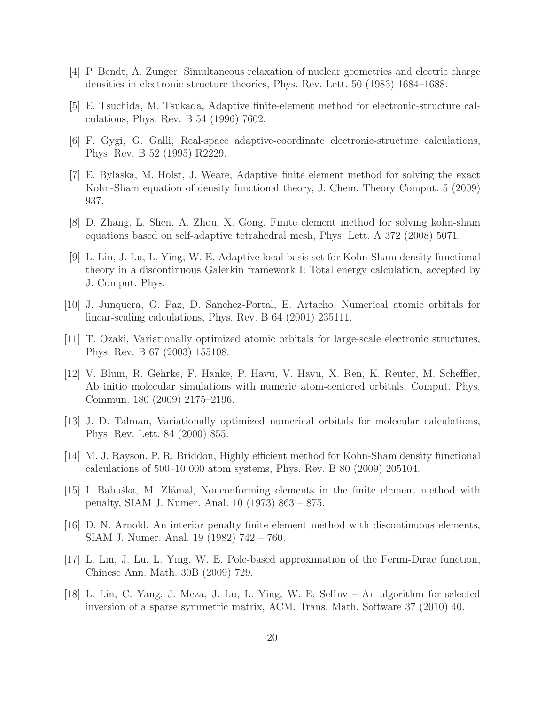- <span id="page-19-0"></span>[4] P. Bendt, A. Zunger, Simultaneous relaxation of nuclear geometries and electric charge densities in electronic structure theories, Phys. Rev. Lett. 50 (1983) 1684–1688.
- <span id="page-19-1"></span>[5] E. Tsuchida, M. Tsukada, Adaptive finite-element method for electronic-structure calculations, Phys. Rev. B 54 (1996) 7602.
- <span id="page-19-2"></span>[6] F. Gygi, G. Galli, Real-space adaptive-coordinate electronic-structure calculations, Phys. Rev. B 52 (1995) R2229.
- <span id="page-19-3"></span>[7] E. Bylaska, M. Holst, J. Weare, Adaptive finite element method for solving the exact Kohn-Sham equation of density functional theory, J. Chem. Theory Comput. 5 (2009) 937.
- <span id="page-19-4"></span>[8] D. Zhang, L. Shen, A. Zhou, X. Gong, Finite element method for solving kohn-sham equations based on self-adaptive tetrahedral mesh, Phys. Lett. A 372 (2008) 5071.
- <span id="page-19-5"></span>[9] L. Lin, J. Lu, L. Ying, W. E, Adaptive local basis set for Kohn-Sham density functional theory in a discontinuous Galerkin framework I: Total energy calculation, accepted by J. Comput. Phys.
- <span id="page-19-6"></span>[10] J. Junquera, O. Paz, D. Sanchez-Portal, E. Artacho, Numerical atomic orbitals for linear-scaling calculations, Phys. Rev. B 64 (2001) 235111.
- <span id="page-19-7"></span>[11] T. Ozaki, Variationally optimized atomic orbitals for large-scale electronic structures, Phys. Rev. B 67 (2003) 155108.
- <span id="page-19-8"></span>[12] V. Blum, R. Gehrke, F. Hanke, P. Havu, V. Havu, X. Ren, K. Reuter, M. Scheffler, Ab initio molecular simulations with numeric atom-centered orbitals, Comput. Phys. Commun. 180 (2009) 2175–2196.
- <span id="page-19-9"></span>[13] J. D. Talman, Variationally optimized numerical orbitals for molecular calculations, Phys. Rev. Lett. 84 (2000) 855.
- <span id="page-19-10"></span>[14] M. J. Rayson, P. R. Briddon, Highly efficient method for Kohn-Sham density functional calculations of 500–10 000 atom systems, Phys. Rev. B 80 (2009) 205104.
- <span id="page-19-11"></span>[15] I. Babuška, M. Zlámal, Nonconforming elements in the finite element method with penalty, SIAM J. Numer. Anal. 10 (1973) 863 – 875.
- <span id="page-19-12"></span>[16] D. N. Arnold, An interior penalty finite element method with discontinuous elements, SIAM J. Numer. Anal. 19 (1982) 742 – 760.
- <span id="page-19-13"></span>[17] L. Lin, J. Lu, L. Ying, W. E, Pole-based approximation of the Fermi-Dirac function, Chinese Ann. Math. 30B (2009) 729.
- <span id="page-19-14"></span>[18] L. Lin, C. Yang, J. Meza, J. Lu, L. Ying, W. E, SelInv – An algorithm for selected inversion of a sparse symmetric matrix, ACM. Trans. Math. Software 37 (2010) 40.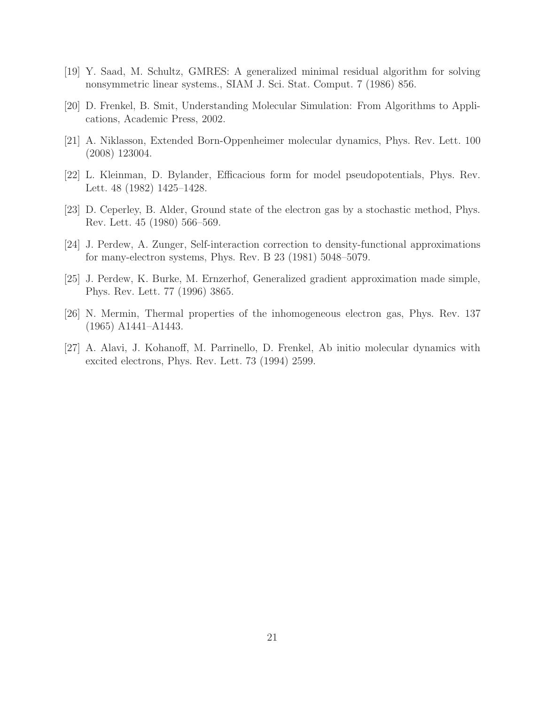- <span id="page-20-0"></span>[19] Y. Saad, M. Schultz, GMRES: A generalized minimal residual algorithm for solving nonsymmetric linear systems., SIAM J. Sci. Stat. Comput. 7 (1986) 856.
- <span id="page-20-1"></span>[20] D. Frenkel, B. Smit, Understanding Molecular Simulation: From Algorithms to Applications, Academic Press, 2002.
- <span id="page-20-2"></span>[21] A. Niklasson, Extended Born-Oppenheimer molecular dynamics, Phys. Rev. Lett. 100 (2008) 123004.
- <span id="page-20-3"></span>[22] L. Kleinman, D. Bylander, Efficacious form for model pseudopotentials, Phys. Rev. Lett. 48 (1982) 1425–1428.
- <span id="page-20-4"></span>[23] D. Ceperley, B. Alder, Ground state of the electron gas by a stochastic method, Phys. Rev. Lett. 45 (1980) 566–569.
- <span id="page-20-5"></span>[24] J. Perdew, A. Zunger, Self-interaction correction to density-functional approximations for many-electron systems, Phys. Rev. B 23 (1981) 5048–5079.
- <span id="page-20-6"></span>[25] J. Perdew, K. Burke, M. Ernzerhof, Generalized gradient approximation made simple, Phys. Rev. Lett. 77 (1996) 3865.
- <span id="page-20-7"></span>[26] N. Mermin, Thermal properties of the inhomogeneous electron gas, Phys. Rev. 137 (1965) A1441–A1443.
- <span id="page-20-8"></span>[27] A. Alavi, J. Kohanoff, M. Parrinello, D. Frenkel, Ab initio molecular dynamics with excited electrons, Phys. Rev. Lett. 73 (1994) 2599.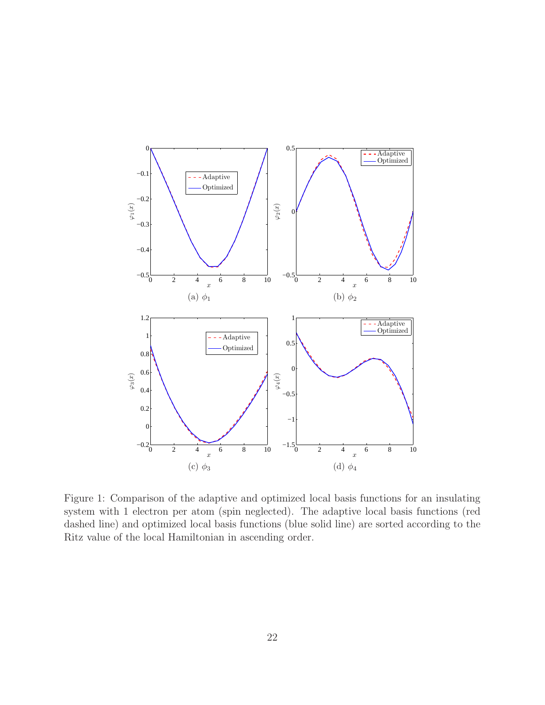<span id="page-21-0"></span>

Figure 1: Comparison of the adaptive and optimized local basis functions for an insulating system with 1 electron per atom (spin neglected). The adaptive local basis functions (red dashed line) and optimized local basis functions (blue solid line) are sorted according to the Ritz value of the local Hamiltonian in ascending order.